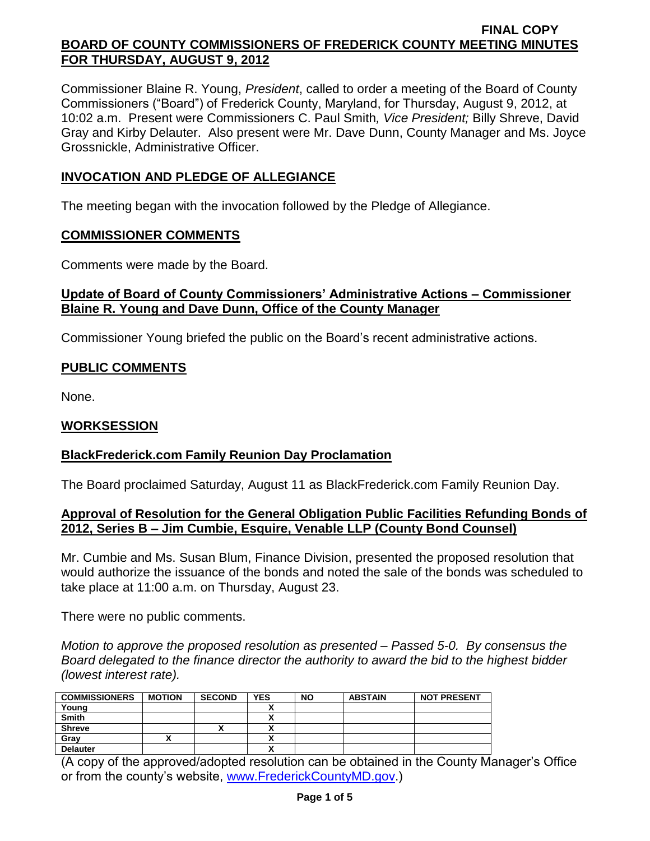Commissioner Blaine R. Young, *President*, called to order a meeting of the Board of County Commissioners ("Board") of Frederick County, Maryland, for Thursday, August 9, 2012, at 10:02 a.m. Present were Commissioners C. Paul Smith*, Vice President;* Billy Shreve, David Gray and Kirby Delauter. Also present were Mr. Dave Dunn, County Manager and Ms. Joyce Grossnickle, Administrative Officer.

# **INVOCATION AND PLEDGE OF ALLEGIANCE**

The meeting began with the invocation followed by the Pledge of Allegiance.

### **COMMISSIONER COMMENTS**

Comments were made by the Board.

### **Update of Board of County Commissioners' Administrative Actions – Commissioner Blaine R. Young and Dave Dunn, Office of the County Manager**

Commissioner Young briefed the public on the Board's recent administrative actions.

# **PUBLIC COMMENTS**

None.

### **WORKSESSION**

### **BlackFrederick.com Family Reunion Day Proclamation**

The Board proclaimed Saturday, August 11 as BlackFrederick.com Family Reunion Day.

### **Approval of Resolution for the General Obligation Public Facilities Refunding Bonds of 2012, Series B – Jim Cumbie, Esquire, Venable LLP (County Bond Counsel)**

Mr. Cumbie and Ms. Susan Blum, Finance Division, presented the proposed resolution that would authorize the issuance of the bonds and noted the sale of the bonds was scheduled to take place at 11:00 a.m. on Thursday, August 23.

There were no public comments.

*Motion to approve the proposed resolution as presented – Passed 5-0. By consensus the Board delegated to the finance director the authority to award the bid to the highest bidder (lowest interest rate).*

| <b>COMMISSIONERS</b> | <b>MOTION</b> | <b>SECOND</b> | <b>YES</b> | <b>NO</b> | <b>ABSTAIN</b> | <b>NOT PRESENT</b> |
|----------------------|---------------|---------------|------------|-----------|----------------|--------------------|
| Young                |               |               |            |           |                |                    |
| <b>Smith</b>         |               |               |            |           |                |                    |
| <b>Shreve</b>        |               | "             |            |           |                |                    |
| Gray                 |               |               | ↗          |           |                |                    |
| <b>Delauter</b>      |               |               |            |           |                |                    |

(A copy of the approved/adopted resolution can be obtained in the County Manager's Office or from the county's website, [www.FrederickCountyMD.gov.](http://www.frederickcountymd.gov/))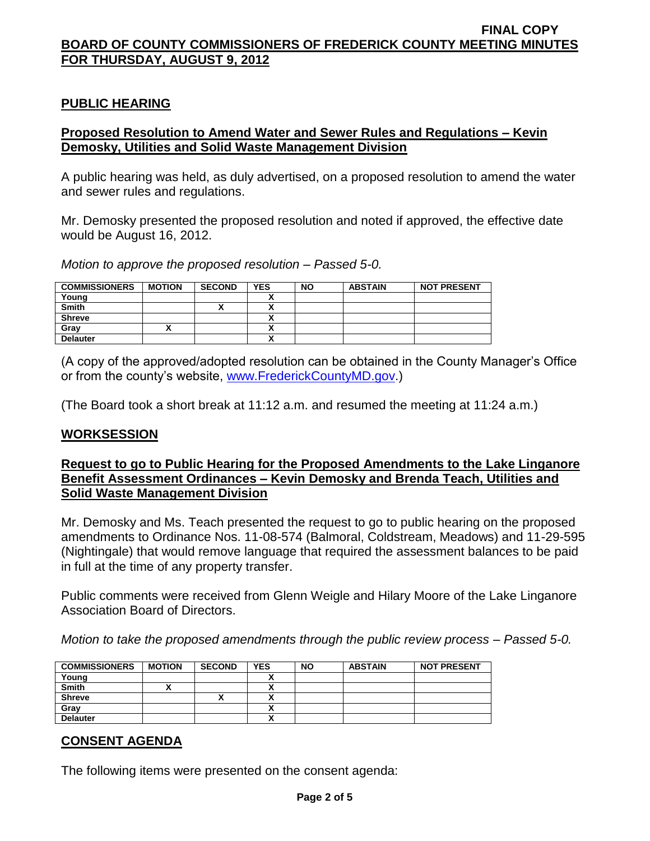## **PUBLIC HEARING**

## **Proposed Resolution to Amend Water and Sewer Rules and Regulations – Kevin Demosky, Utilities and Solid Waste Management Division**

A public hearing was held, as duly advertised, on a proposed resolution to amend the water and sewer rules and regulations.

Mr. Demosky presented the proposed resolution and noted if approved, the effective date would be August 16, 2012.

*Motion to approve the proposed resolution – Passed 5-0.*

| <b>COMMISSIONERS</b> | <b>MOTION</b> | <b>SECOND</b> | <b>YES</b> | <b>NO</b> | <b>ABSTAIN</b> | <b>NOT PRESENT</b> |
|----------------------|---------------|---------------|------------|-----------|----------------|--------------------|
| Young                |               |               |            |           |                |                    |
| <b>Smith</b>         |               |               | Λ          |           |                |                    |
| <b>Shreve</b>        |               |               | ↗          |           |                |                    |
| Grav                 |               |               | $\cdots$   |           |                |                    |
| <b>Delauter</b>      |               |               | ,,         |           |                |                    |

(A copy of the approved/adopted resolution can be obtained in the County Manager's Office or from the county's website, [www.FrederickCountyMD.gov.](http://www.frederickcountymd.gov/))

(The Board took a short break at 11:12 a.m. and resumed the meeting at 11:24 a.m.)

### **WORKSESSION**

### **Request to go to Public Hearing for the Proposed Amendments to the Lake Linganore Benefit Assessment Ordinances – Kevin Demosky and Brenda Teach, Utilities and Solid Waste Management Division**

Mr. Demosky and Ms. Teach presented the request to go to public hearing on the proposed amendments to Ordinance Nos. 11-08-574 (Balmoral, Coldstream, Meadows) and 11-29-595 (Nightingale) that would remove language that required the assessment balances to be paid in full at the time of any property transfer.

Public comments were received from Glenn Weigle and Hilary Moore of the Lake Linganore Association Board of Directors.

*Motion to take the proposed amendments through the public review process – Passed 5-0.*

| <b>COMMISSIONERS</b> | <b>MOTION</b> | <b>SECOND</b> | <b>YES</b> | <b>NO</b> | <b>ABSTAIN</b> | <b>NOT PRESENT</b> |
|----------------------|---------------|---------------|------------|-----------|----------------|--------------------|
| Young                |               |               |            |           |                |                    |
| <b>Smith</b>         |               |               |            |           |                |                    |
| <b>Shreve</b>        |               |               |            |           |                |                    |
| Gray                 |               |               |            |           |                |                    |
| <b>Delauter</b>      |               |               | ~          |           |                |                    |

# **CONSENT AGENDA**

The following items were presented on the consent agenda: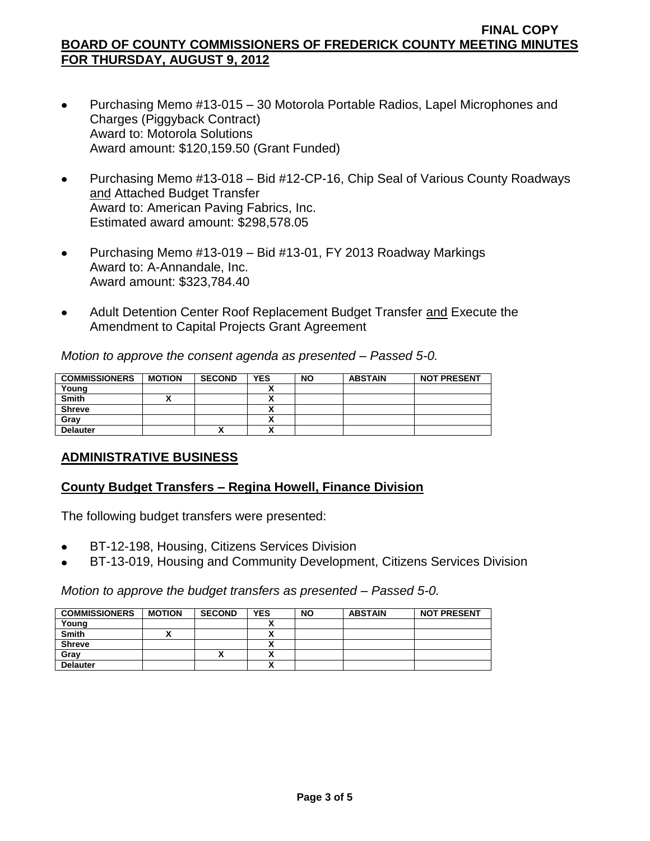- Purchasing Memo #13-015 30 Motorola Portable Radios, Lapel Microphones and  $\bullet$ Charges (Piggyback Contract) Award to: Motorola Solutions Award amount: \$120,159.50 (Grant Funded)
- Purchasing Memo #13-018 Bid #12-CP-16, Chip Seal of Various County Roadways  $\bullet$ and Attached Budget Transfer Award to: American Paving Fabrics, Inc. Estimated award amount: \$298,578.05
- Purchasing Memo #13-019 Bid #13-01, FY 2013 Roadway Markings  $\bullet$ Award to: A-Annandale, Inc. Award amount: \$323,784.40
- Adult Detention Center Roof Replacement Budget Transfer and Execute the  $\bullet$ Amendment to Capital Projects Grant Agreement

*Motion to approve the consent agenda as presented – Passed 5-0.*

| <b>COMMISSIONERS</b> | <b>MOTION</b> | <b>SECOND</b>            | <b>YES</b>                    | <b>NO</b> | <b>ABSTAIN</b> | <b>NOT PRESENT</b> |
|----------------------|---------------|--------------------------|-------------------------------|-----------|----------------|--------------------|
| Young                |               |                          |                               |           |                |                    |
| <b>Smith</b>         |               |                          | ~                             |           |                |                    |
| <b>Shreve</b>        |               |                          |                               |           |                |                    |
| Gray                 |               |                          |                               |           |                |                    |
| <b>Delauter</b>      |               | $\overline{\phantom{a}}$ | `<br>$\overline{\phantom{a}}$ |           |                |                    |

# **ADMINISTRATIVE BUSINESS**

### **County Budget Transfers – Regina Howell, Finance Division**

The following budget transfers were presented:

- BT-12-198, Housing, Citizens Services Division
- BT-13-019, Housing and Community Development, Citizens Services Division

### *Motion to approve the budget transfers as presented – Passed 5-0.*

|               |               |            |           | <b>NOT PRESENT</b> |
|---------------|---------------|------------|-----------|--------------------|
|               |               |            |           |                    |
|               |               |            |           |                    |
|               |               |            |           |                    |
| $\lambda$     |               |            |           |                    |
|               |               |            |           |                    |
| <b>MOTION</b> | <b>SECOND</b> | <b>YES</b> | <b>NO</b> | <b>ABSTAIN</b>     |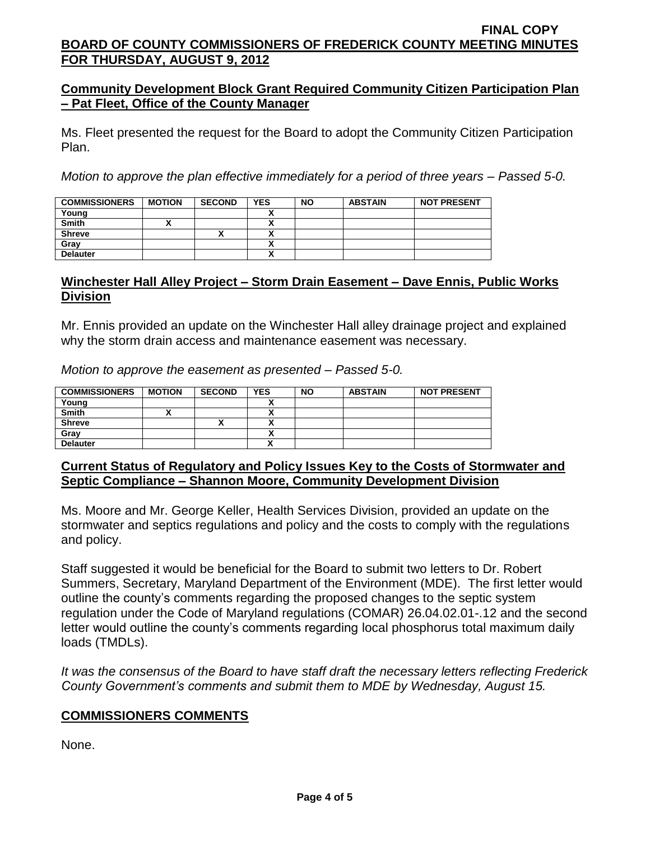## **Community Development Block Grant Required Community Citizen Participation Plan – Pat Fleet, Office of the County Manager**

Ms. Fleet presented the request for the Board to adopt the Community Citizen Participation Plan.

*Motion to approve the plan effective immediately for a period of three years – Passed 5-0.*

| <b>COMMISSIONERS</b> | <b>MOTION</b> | <b>SECOND</b> | <b>YES</b> | <b>NO</b> | <b>ABSTAIN</b> | <b>NOT PRESENT</b> |
|----------------------|---------------|---------------|------------|-----------|----------------|--------------------|
| Young                |               |               |            |           |                |                    |
| <b>Smith</b>         |               |               |            |           |                |                    |
| <b>Shreve</b>        |               |               |            |           |                |                    |
| Gray                 |               |               |            |           |                |                    |
| <b>Delauter</b>      |               |               |            |           |                |                    |

## **Winchester Hall Alley Project – Storm Drain Easement – Dave Ennis, Public Works Division**

Mr. Ennis provided an update on the Winchester Hall alley drainage project and explained why the storm drain access and maintenance easement was necessary.

*Motion to approve the easement as presented – Passed 5-0.*

| <b>COMMISSIONERS</b> | <b>MOTION</b> | <b>SECOND</b> | <b>YES</b> | <b>NO</b> | <b>ABSTAIN</b> | <b>NOT PRESENT</b> |
|----------------------|---------------|---------------|------------|-----------|----------------|--------------------|
| Young                |               |               |            |           |                |                    |
| <b>Smith</b>         |               |               |            |           |                |                    |
| <b>Shreve</b>        |               | "             |            |           |                |                    |
| Grav                 |               |               | Λ          |           |                |                    |
| <b>Delauter</b>      |               |               |            |           |                |                    |

### **Current Status of Regulatory and Policy Issues Key to the Costs of Stormwater and Septic Compliance – Shannon Moore, Community Development Division**

Ms. Moore and Mr. George Keller, Health Services Division, provided an update on the stormwater and septics regulations and policy and the costs to comply with the regulations and policy.

Staff suggested it would be beneficial for the Board to submit two letters to Dr. Robert Summers, Secretary, Maryland Department of the Environment (MDE). The first letter would outline the county's comments regarding the proposed changes to the septic system regulation under the Code of Maryland regulations (COMAR) 26.04.02.01-.12 and the second letter would outline the county's comments regarding local phosphorus total maximum daily loads (TMDLs).

*It was the consensus of the Board to have staff draft the necessary letters reflecting Frederick County Government's comments and submit them to MDE by Wednesday, August 15.*

### **COMMISSIONERS COMMENTS**

None.